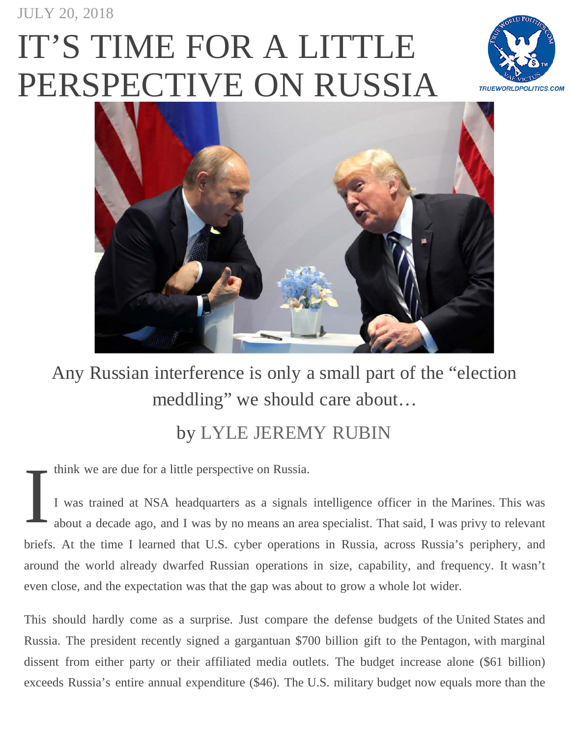## IT'S TIME FOR A LITTLE [PERSPECTIVE ON RUSSIA](https://www.currentaffairs.org/2018/07/its-time-for-a-little-perspective-on-russia)





## Any Russian interference is only a small part of the "election meddling" we should care about...

## by [LYLE JEREMY RUBIN](https://www.currentaffairs.org/author/lylerubin)

think we are due for a little perspective on Russia.

I I was trained at NSA headquarters as a signals intelligence officer in the Marines. This was about a decade ago, and I was by no means an area specialist. That said, I was privy to relevant briefs. At the time I learned that U.S. cyber operations in Russia, across Russia's periphery, and around the world already dwarfed Russian operations in size, capability, and frequency. It wasn't even close, and the expectation was that the gap was about to grow a whole lot wider.

This should hardly come as a surprise. Just compare the defense budgets of the United States and Russia. The president recently signed a gargantuan \$700 billion gift to the Pentagon, with marginal dissent from either party or their affiliated media outlets. The budget increase alone (\$61 billion) exceeds Russia's entire annual expenditure (\$46). The U.S. military budget now equals more than the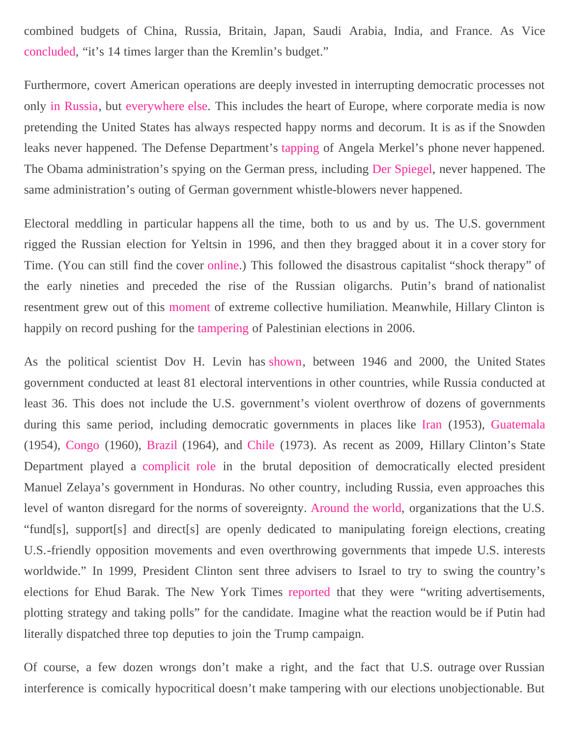combined budgets of China, Russia, Britain, Japan, Saudi Arabia, India, and France. As Vice [concluded,](https://news.vice.com/en_ca/article/paxgbg/the-pentagons-spending-increase-is-more-than-russias-entire-military-budget) "it's 14 times larger than the Kremlin's budget."

Furthermore, covert American operations are deeply invested in interrupting democratic processes not only [in Russia,](https://www.washingtonpost.com/world/national-security/as-russia-reasserts-itself-us-intelligence-agencies-focus-anew-on-the-kremlin/2016/09/14/cc212c62-78f0-11e6-ac8e-cf8e0dd91dc7_story.html?utm_term=.82cf3ea258a3) but [everywhere else.](https://www.channel4.com/news/factcheck/americas-long-history-of-meddling-in-other-countries-elections) This includes the heart of Europe, where corporate media is now pretending the United States has always respected happy norms and decorum. It is as if the Snowden leaks never happened. The Defense Department's [tapping](https://www.thelocal.de/20160223/nsa-eavesdropped-on-merkels-intimate-conversations) of Angela Merkel's phone never happened. The Obama administration's spying on the German press, including [Der Spiegel,](https://www.cnn.com/2015/07/03/politics/germany-media-spying-obama-administration/index.html) never happened. The same administration's outing of German government whistle-blowers never happened.

Electoral meddling in particular happens all the time, both to us and by us. The U.S. government rigged the Russian election for Yeltsin in 1996, and then they bragged about it in a cover story for Time. (You can still find the cover [online.](https://content.time.com/time/covers/0,16641,19960715,00.html)) This followed the disastrous capitalist "shock therapy" of the early nineties and preceded the rise of the Russian oligarchs. Putin's brand of nationalist resentment grew out of this [moment](https://www.theguardian.com/commentisfree/2017/jan/05/americans-spot-election-meddling-doing-years-vladimir-putin-donald-trump) of extreme collective humiliation. Meanwhile, Hillary Clinton is happily on record pushing for the [tampering](https://theweek.com/speedreads/658320/unearthed-2006-audio-clinton-appears-suggest-rigging-palestine-election) of Palestinian elections in 2006.

As the political scientist Dov H. Levin has [shown](https://www.nytimes.com/2018/02/17/sunday-review/russia-isnt-the-only-one-meddling-in-elections-we-do-it-too.html), between 1946 and 2000, the United States government conducted at least 81 electoral interventions in other countries, while Russia conducted at least 36. This does not include the U.S. government's violent overthrow of dozens of governments during this same period, including democratic governments in places like [Iran](https://foreignpolicy.com/2017/06/20/64-years-later-cia-finally-releases-details-of-iranian-coup-iran-tehran-oil/) (1953), [Guatemala](https://thepanoptic.co.uk/2016/11/19/american-intervention-guatemala/) (1954), [Congo](https://www.theguardian.com/global-development/poverty-matters/2011/jan/17/patrice-lumumba-50th-anniversary-assassination) (1960), [Brazil](https://nacla.org/news/2015/03/06/united-states-and-brazil-reaping-what-you-sow) (1964), and [Chile](https://archive.nytimes.com/www.nytimes.com/cfr/international/20031101faessay_v82n6_maxwell.html) (1973). As recent as 2009, Hillary Clinton's State Department played a [complicit role](https://www.theguardian.com/world/2016/aug/31/hillary-clinton-honduras-violence-manuel-zelaya-berta-caceres) in the brutal deposition of democratically elected president Manuel Zelaya's government in Honduras. No other country, including Russia, even approaches this level of wanton disregard for the norms of sovereignty. [Around the world,](https://www.forbes.com/sites/dougbandow/2017/08/01/interfering-in-democratic-elections-russia-against-the-u-s-but-u-s-against-the-world/#a97dd1e6644c) organizations that the U.S. "fund[s], support[s] and direct[s] are openly dedicated to manipulating foreign elections, creating U.S.-friendly opposition movements and even overthrowing governments that impede U.S. interests worldwide." In 1999, President Clinton sent three advisers to Israel to try to swing the country's elections for Ehud Barak. The New York Times [reported](https://www.nytimes.com/1999/05/17/world/white-house-is-quietly-pro-barak.html) that they were "writing advertisements, plotting strategy and taking polls" for the candidate. Imagine what the reaction would be if Putin had literally dispatched three top deputies to join the Trump campaign.

Of course, a few dozen wrongs don't make a right, and the fact that U.S. outrage over Russian interference is comically hypocritical doesn't make tampering with our elections unobjectionable. But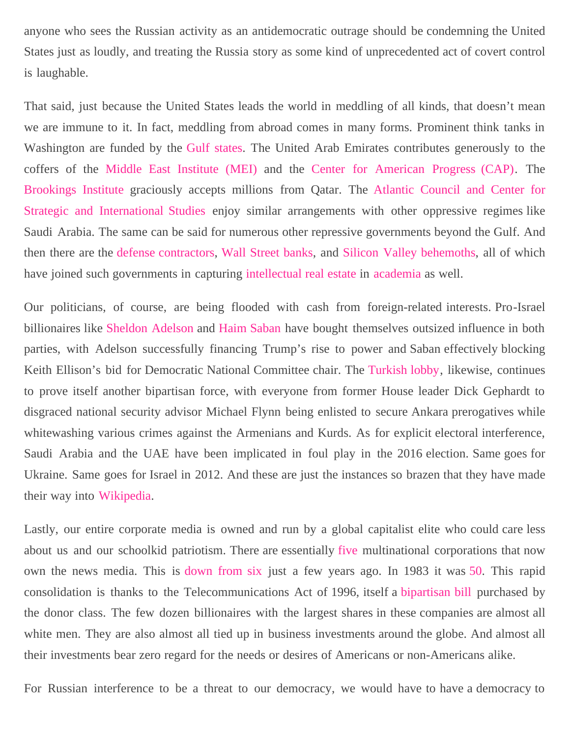anyone who sees the Russian activity as an antidemocratic outrage should be condemning the United States just as loudly, and treating the Russia story as some kind of unprecedented act of covert control is laughable.

That said, just because the United States leads the world in meddling of all kinds, that doesn't mean we are immune to it. In fact, meddling from abroad comes in many forms. Prominent think tanks in Washington are funded by the [Gulf states.](https://www.nytimes.com/2014/09/07/us/politics/foreign-powers-buy-influence-at-think-tanks.html?_r=1) The United Arab Emirates contributes generously to the coffers of the [Middle East Institute \(MEI\) a](https://theintercept.com/2017/08/09/gulf-government-gave-secret-20-million-gift-to-d-c-think-tank/)nd the [Center for American Progress \(CAP\).](https://theintercept.com/2017/07/30/uae-yousef-otaiba-cnas-american-progress-michele-flournoy-drone/) The [Brookings Institute](https://www.haaretz.com/us-news/.premium-how-gulf-states-entangled-d-c-think-tanks-in-their-fight-for-influence-1.5480528) graciously accepts millions from Qatar. The [Atlantic Council and Center for](https://www.nytimes.com/interactive/2014/09/07/us/politics/foreign-government-contributions-to-nine-think-tanks.html) [Strategic and International Studies](https://www.nytimes.com/interactive/2014/09/07/us/politics/foreign-government-contributions-to-nine-think-tanks.html) enjoy similar arrangements with other oppressive regimes like Saudi Arabia. The same can be said for numerous other repressive governments beyond the Gulf. And then there are the [defense contractors,](https://www.nytimes.com/2016/08/08/us/politics/think-tanks-research-and-corporate-lobbying.html) [Wall Street banks](https://news.littlesis.org/2013/12/13/banking-on-think-tanks/), and [Silicon Valley behemoths,](https://www.npr.org/2017/09/20/551364067/who-controls-think-tanks-shift-in-funding-highlights-changes-in-the-industry) all of which have joined such governments in capturing [intellectual](https://www.theguardian.com/commentisfree/cifamerica/2011/apr/01/us-military-researchfunding) [real estate](https://www.theguardian.com/education/2012/may/21/heist-century-university-corruption) in [academia](http://www.googletransparencyproject.org/articles/googles-academic-influence-in-europe) as well.

Our politicians, of course, are being flooded with cash from foreign-related interests. Pro-Israel billionaires like [Sheldon Adelson](https://www.haaretz.com/us-news/.premium-how-trump-became-advocate-for-u-s-embassy-move-to-jerusalem-1.6094017) and [Haim Saban](https://theintercept.com/2017/02/24/key-question-about-dnc-race-why-did-white-house-recruit-perez-to-run-against-ellison/) have bought themselves outsized influence in both parties, with Adelson successfully financing Trump's rise to power and Saban effectively blocking Keith Ellison's bid for Democratic National Committee chair. The [Turkish lobby,](https://www.huffingtonpost.com/entry/draining-the-swamp-of-turkish-influence_us_59bf17dbe4b0390a1564def5) likewise, continues to prove itself another bipartisan force, with everyone from former House leader Dick Gephardt to disgraced national security advisor Michael Flynn being enlisted to secure Ankara prerogatives while whitewashing various crimes against the Armenians and Kurds. As for explicit electoral interference, Saudi Arabia and the UAE have been implicated in foul play in the 2016 election. Same goes for Ukraine. Same goes for Israel in 2012. And these are just the instances so brazen that they have made their way into [Wikipedia](https://www.wikiwand.com/en/Foreign_electoral_intervention).

Lastly, our entire corporate media is owned and run by a global capitalist elite who could care less about us and our schoolkid patriotism. There are essentially [five](https://www.recode.net/2018/1/23/16905844/media-landscape-verizon-amazon-comcast-disney-fox-relationships-chart) multinational corporations that now own the news media. This is [down from six](https://deusnexus.wordpress.com/2017/12/14/five-companies-control-media/) just a few years ago. In 1983 it was [50.](http://www.businessinsider.com/these-6-corporations-control-90-of-the-media-in-america-2012-6) This rapid consolidation is thanks to the Telecommunications Act of 1996, itself a [bipartisan bill](https://lawandcrime.com/legal-analysis/sinclair-broadcast-group-media-monopoly-thanks-bill-clinton/) purchased by the donor class. The few dozen billionaires with the largest shares in these companies are almost all white men. They are also almost all tied up in business investments around the globe. And almost all their investments bear zero regard for the needs or desires of Americans or non-Americans alike.

For Russian interference to be a threat to our democracy, we would have to have a democracy to